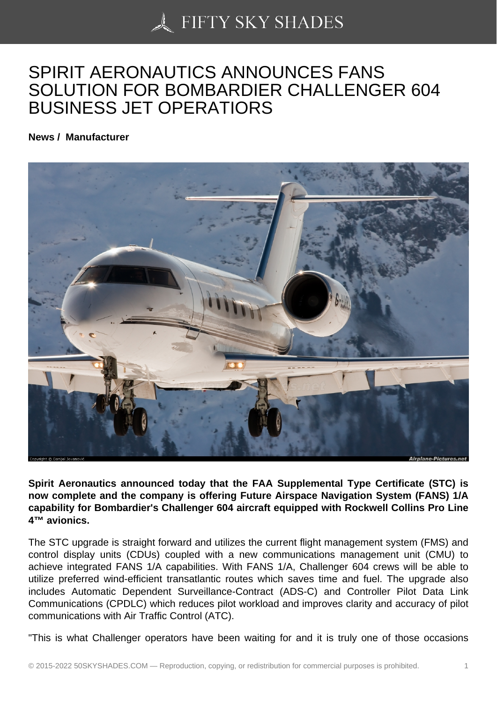## [SPIRIT AERONAUTIC](https://50skyshades.com)S ANNOUNCES FANS SOLUTION FOR BOMBARDIER CHALLENGER 604 BUSINESS JET OPERATIORS

News / Manufacturer

Spirit Aeronautics announced today that the FAA Supplemental Type Certificate (STC) is now complete and the company is offering Future Airspace Navigation System (FANS) 1/A capability for Bombardier's Challenger 604 aircraft equipped with Rockwell Collins Pro Line 4™ avionics.

The STC upgrade is straight forward and utilizes the current flight management system (FMS) and control display units (CDUs) coupled with a new communications management unit (CMU) to achieve integrated FANS 1/A capabilities. With FANS 1/A, Challenger 604 crews will be able to utilize preferred wind-efficient transatlantic routes which saves time and fuel. The upgrade also includes Automatic Dependent Surveillance-Contract (ADS-C) and Controller Pilot Data Link Communications (CPDLC) which reduces pilot workload and improves clarity and accuracy of pilot communications with Air Traffic Control (ATC).

"This is what Challenger operators have been waiting for and it is truly one of those occasions